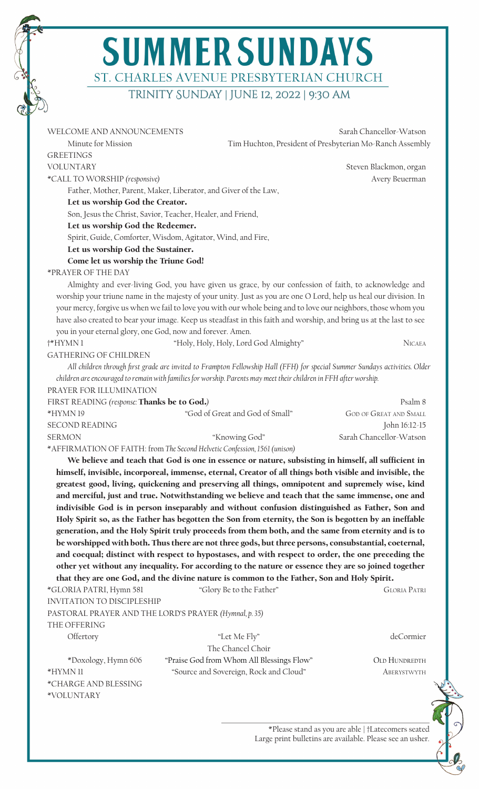## **SUMMER SUNDAYS** ST. CHARLES AVENUE PRESBYTERIAN CHURCH trinity Sunday | June 12, 2022 | 9:30 am

| WELCOME AND ANNOUNCEMENTS                                  |                                                                                                                             | Sarah Chancellor-Watson                                  |
|------------------------------------------------------------|-----------------------------------------------------------------------------------------------------------------------------|----------------------------------------------------------|
| Minute for Mission                                         |                                                                                                                             | Tim Huchton, President of Presbyterian Mo-Ranch Assembly |
| <b>GREETINGS</b>                                           |                                                                                                                             |                                                          |
| <b>VOLUNTARY</b>                                           |                                                                                                                             | Steven Blackmon, organ                                   |
| *CALL TO WORSHIP (responsive)                              |                                                                                                                             | Avery Beuerman                                           |
|                                                            | Father, Mother, Parent, Maker, Liberator, and Giver of the Law,                                                             |                                                          |
| Let us worship God the Creator.                            |                                                                                                                             |                                                          |
|                                                            | Son, Jesus the Christ, Savior, Teacher, Healer, and Friend,                                                                 |                                                          |
| Let us worship God the Redeemer.                           |                                                                                                                             |                                                          |
|                                                            | Spirit, Guide, Comforter, Wisdom, Agitator, Wind, and Fire,                                                                 |                                                          |
| Let us worship God the Sustainer.                          |                                                                                                                             |                                                          |
| Come let us worship the Triune God!                        |                                                                                                                             |                                                          |
| *PRAYER OF THE DAY                                         |                                                                                                                             |                                                          |
|                                                            | Almighty and ever-living God, you have given us grace, by our confession of faith, to acknowledge and                       |                                                          |
|                                                            | worship your triune name in the majesty of your unity. Just as you are one O Lord, help us heal our division. In            |                                                          |
|                                                            | your mercy, forgive us when we fail to love you with our whole being and to love our neighbors, those whom you              |                                                          |
|                                                            | have also created to bear your image. Keep us steadfast in this faith and worship, and bring us at the last to see          |                                                          |
| you in your eternal glory, one God, now and forever. Amen. |                                                                                                                             |                                                          |
| †*HYMN1                                                    | "Holy, Holy, Holy, Lord God Almighty"                                                                                       | <b>NICAEA</b>                                            |
| <b>GATHERING OF CHILDREN</b>                               |                                                                                                                             |                                                          |
|                                                            | All children through first grade are invited to Frampton Fellowship Hall (FFH) for special Summer Sundays activities. Older |                                                          |
|                                                            | children are encouraged to remain with families for worship. Parents may meet their children in FFH after worship.          |                                                          |
| PRAYER FOR ILLUMINATION                                    |                                                                                                                             |                                                          |
| FIRST READING (response: Thanks be to God.)                |                                                                                                                             | Psalm 8                                                  |
| *HYMN19                                                    | "God of Great and God of Small"                                                                                             | <b>GOD OF GREAT AND SMALL</b>                            |
| <b>SECOND READING</b>                                      |                                                                                                                             | John 16:12-15                                            |
| <b>SERMON</b>                                              | "Knowing God"                                                                                                               | Sarah Chancellor-Watson                                  |
|                                                            | *AFFIRMATION OF FAITH: from The Second Helvetic Confession, 1561 (unison)                                                   |                                                          |
|                                                            | We believe and teach that God is one in essence or nature, subsisting in himself, all sufficient in                         |                                                          |
|                                                            | himself, invisible, incorporeal, immense, eternal, Creator of all things both visible and invisible, the                    |                                                          |
|                                                            | greatest good, living, quickening and preserving all things, omnipotent and supremely wise, kind                            |                                                          |
|                                                            | and merciful, just and true. Notwithstanding we believe and teach that the same immense, one and                            |                                                          |
|                                                            | indivisible God is in person inseparably and without confusion distinguished as Father, Son and                             |                                                          |
|                                                            | Holy Spirit so, as the Father has begotten the Son from eternity, the Son is begotten by an ineffable                       |                                                          |
|                                                            | generation, and the Holy Spirit truly proceeds from them both, and the same from eternity and is to                         |                                                          |
|                                                            | be worshipped with both. Thus there are not three gods, but three persons, consubstantial, coeternal,                       |                                                          |
|                                                            | and coequal; distinct with respect to hypostases, and with respect to order, the one preceding the                          |                                                          |
|                                                            | other yet without any inequality. For according to the nature or essence they are so joined together                        |                                                          |
|                                                            | that they are one God, and the divine nature is common to the Father, Son and Holy Spirit.                                  |                                                          |
| *GLORIA PATRI, Hymn 581                                    | "Glory Be to the Father"                                                                                                    | <b>GLORIA PATRI</b>                                      |
| INVITATION TO DISCIPLESHIP                                 |                                                                                                                             |                                                          |
|                                                            | PASTORAL PRAYER AND THE LORD'S PRAYER (Hymnal, p. 35)                                                                       |                                                          |
| THE OFFERING                                               |                                                                                                                             |                                                          |
| Offertory                                                  | "Let Me Fly"                                                                                                                | deCormier                                                |
|                                                            |                                                                                                                             |                                                          |
| *Doxology, Hymn 606                                        |                                                                                                                             |                                                          |
|                                                            | The Chancel Choir                                                                                                           |                                                          |
| *HYMN 11                                                   | "Praise God from Whom All Blessings Flow"<br>"Source and Sovereign, Rock and Cloud"                                         | OLD HUNDREDTH<br>ABERYSTWYTH                             |

\*VOLUNTARY

\*Please stand as you are able | †Latecomers seated Large print bulletins are available. Please see an usher.